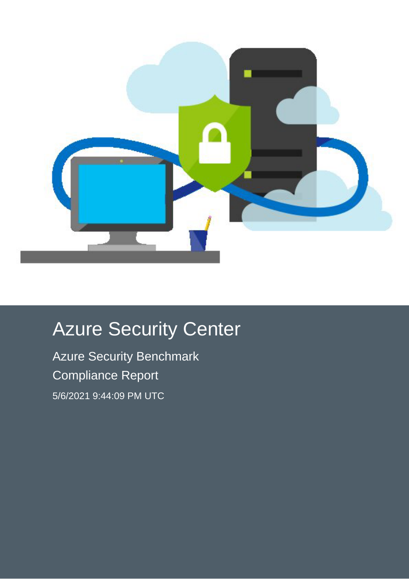

# Azure Security Center

Azure Security Benchmark Compliance Report 5/6/2021 9:44:09 PM UTC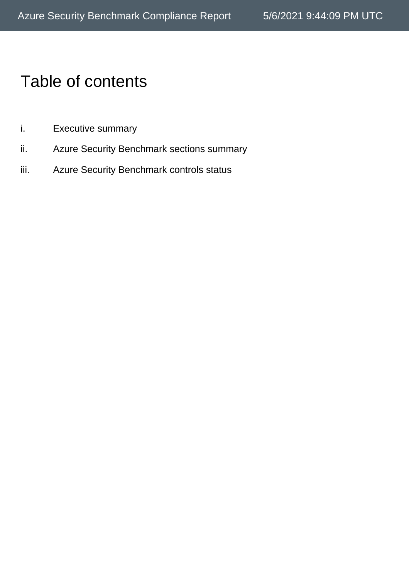## Table of contents

- i. Executive summary
- ii. Azure Security Benchmark sections summary
- iii. Azure Security Benchmark controls status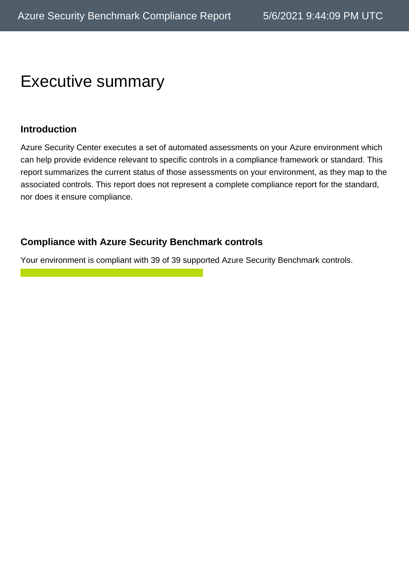## Executive summary

#### **Introduction**

Azure Security Center executes a set of automated assessments on your Azure environment which can help provide evidence relevant to specific controls in a compliance framework or standard. This report summarizes the current status of those assessments on your environment, as they map to the associated controls. This report does not represent a complete compliance report for the standard, nor does it ensure compliance.

#### **Compliance with Azure Security Benchmark controls**

Your environment is compliant with 39 of 39 supported Azure Security Benchmark controls.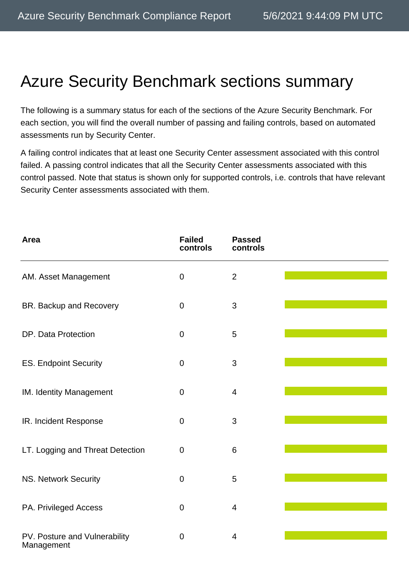## Azure Security Benchmark sections summary

The following is a summary status for each of the sections of the Azure Security Benchmark. For each section, you will find the overall number of passing and failing controls, based on automated assessments run by Security Center.

A failing control indicates that at least one Security Center assessment associated with this control failed. A passing control indicates that all the Security Center assessments associated with this control passed. Note that status is shown only for supported controls, i.e. controls that have relevant Security Center assessments associated with them.

| Area                                        | <b>Failed</b><br>controls | <b>Passed</b><br>controls |  |
|---------------------------------------------|---------------------------|---------------------------|--|
| AM. Asset Management                        | $\overline{0}$            | $\overline{2}$            |  |
| BR. Backup and Recovery                     | $\overline{0}$            | 3                         |  |
| DP. Data Protection                         | $\mathbf 0$               | 5                         |  |
| <b>ES. Endpoint Security</b>                | $\mathbf 0$               | 3                         |  |
| IM. Identity Management                     | $\pmb{0}$                 | $\overline{4}$            |  |
| IR. Incident Response                       | $\mathbf 0$               | 3                         |  |
| LT. Logging and Threat Detection            | $\mathbf 0$               | 6                         |  |
| NS. Network Security                        | $\mathbf 0$               | 5                         |  |
| PA. Privileged Access                       | $\mathbf 0$               | $\overline{4}$            |  |
| PV. Posture and Vulnerability<br>Management | $\mathbf 0$               | 4                         |  |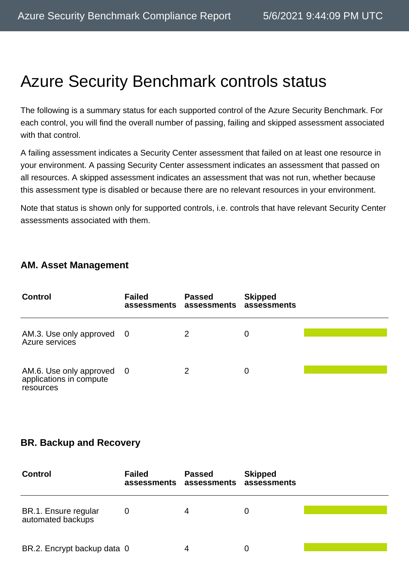## Azure Security Benchmark controls status

The following is a summary status for each supported control of the Azure Security Benchmark. For each control, you will find the overall number of passing, failing and skipped assessment associated with that control.

A failing assessment indicates a Security Center assessment that failed on at least one resource in your environment. A passing Security Center assessment indicates an assessment that passed on all resources. A skipped assessment indicates an assessment that was not run, whether because this assessment type is disabled or because there are no relevant resources in your environment.

Note that status is shown only for supported controls, i.e. controls that have relevant Security Center assessments associated with them.

#### **AM. Asset Management**

| <b>Control</b>                                                    | <b>Failed</b> | <b>Passed</b><br>assessments assessments | <b>Skipped</b><br>assessments |  |
|-------------------------------------------------------------------|---------------|------------------------------------------|-------------------------------|--|
| AM.3. Use only approved 0<br>Azure services                       |               | 2                                        | 0                             |  |
| AM.6. Use only approved 0<br>applications in compute<br>resources |               | 2                                        | 0                             |  |

#### **BR. Backup and Recovery**

| <b>Control</b>                            | <b>Failed</b><br>assessments | <b>Passed</b><br>assessments | <b>Skipped</b><br>assessments |  |
|-------------------------------------------|------------------------------|------------------------------|-------------------------------|--|
| BR.1. Ensure regular<br>automated backups | O                            | 4                            | 0                             |  |
| BR.2. Encrypt backup data 0               |                              | 4                            |                               |  |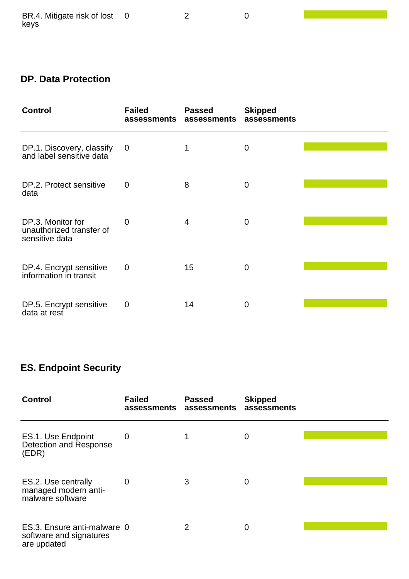0 2 0

 $\mathcal{L}(\mathcal{L}^{\mathcal{L}}_{\mathcal{L}})$  and  $\mathcal{L}^{\mathcal{L}}_{\mathcal{L}}$  and  $\mathcal{L}^{\mathcal{L}}_{\mathcal{L}}$  and  $\mathcal{L}^{\mathcal{L}}_{\mathcal{L}}$ 

### **DP. Data Protection**

| <b>Control</b>                                                  | <b>Failed</b><br>assessments | <b>Passed</b><br>assessments | <b>Skipped</b><br>assessments |  |
|-----------------------------------------------------------------|------------------------------|------------------------------|-------------------------------|--|
| DP.1. Discovery, classify<br>and label sensitive data           | $\mathbf 0$                  |                              | 0                             |  |
| DP.2. Protect sensitive<br>data                                 | $\overline{0}$               | 8                            | $\mathbf 0$                   |  |
| DP.3. Monitor for<br>unauthorized transfer of<br>sensitive data | 0                            | 4                            | $\overline{0}$                |  |
| DP.4. Encrypt sensitive<br>information in transit               | $\mathbf 0$                  | 15                           | 0                             |  |
| DP.5. Encrypt sensitive<br>data at rest                         | $\overline{0}$               | 14                           | $\Omega$                      |  |

### **ES. Endpoint Security**

| <b>Control</b>                                                        | <b>Failed</b><br>assessments assessments | <b>Passed</b> | <b>Skipped</b><br>assessments |  |
|-----------------------------------------------------------------------|------------------------------------------|---------------|-------------------------------|--|
| ES.1. Use Endpoint<br>Detection and Response<br>(EDR)                 | $\overline{0}$                           |               | 0                             |  |
| ES.2. Use centrally<br>managed modern anti-<br>malware software       | 0                                        | 3             | 0                             |  |
| ES.3. Ensure anti-malware 0<br>software and signatures<br>are updated |                                          | 2             | $\overline{0}$                |  |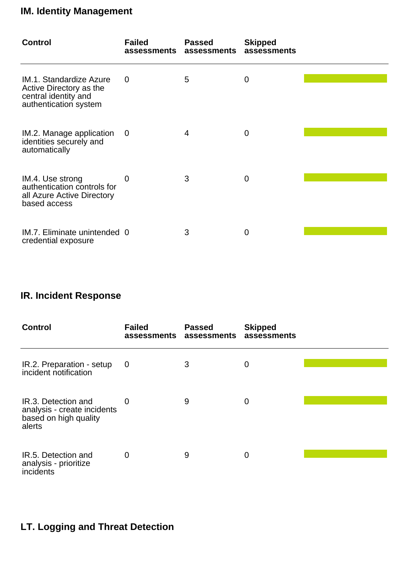### **IM. Identity Management**

| <b>Control</b>                                                                                      | <b>Failed</b><br>assessments | <b>Passed</b><br>assessments | <b>Skipped</b><br>assessments |  |
|-----------------------------------------------------------------------------------------------------|------------------------------|------------------------------|-------------------------------|--|
| IM.1. Standardize Azure<br>Active Directory as the<br>central identity and<br>authentication system | 0                            | 5                            | $\mathbf 0$                   |  |
| IM.2. Manage application<br>identities securely and<br>automatically                                | $\overline{0}$               | 4                            | 0                             |  |
| IM.4. Use strong<br>authentication controls for<br>all Azure Active Directory<br>based access       | 0                            | 3                            | 0                             |  |
| IM.7. Eliminate unintended 0<br>credential exposure                                                 |                              | 3                            | $\overline{0}$                |  |

#### **IR. Incident Response**

| <b>Control</b>                                                                        | <b>Failed</b><br>assessments | <b>Passed</b><br>assessments | <b>Skipped</b><br>assessments |  |
|---------------------------------------------------------------------------------------|------------------------------|------------------------------|-------------------------------|--|
| IR.2. Preparation - setup<br>incident notification                                    | 0                            | 3                            | 0                             |  |
| IR.3. Detection and<br>analysis - create incidents<br>based on high quality<br>alerts | 0                            | 9                            | 0                             |  |
| IR.5. Detection and<br>analysis - prioritize<br>incidents                             | 0                            | 9                            | 0                             |  |

### **LT. Logging and Threat Detection**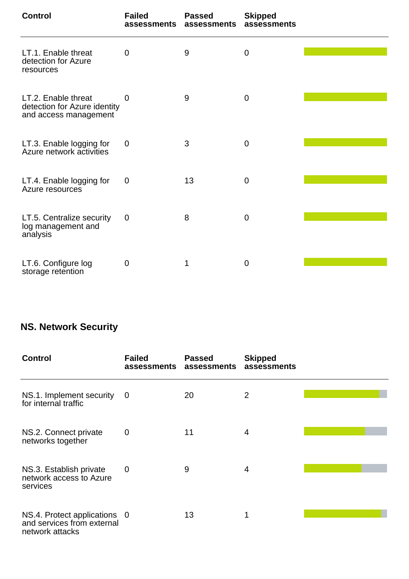| <b>Control</b>                                                               | <b>Failed</b><br>assessments | <b>Passed</b><br>assessments | <b>Skipped</b><br>assessments |  |
|------------------------------------------------------------------------------|------------------------------|------------------------------|-------------------------------|--|
| LT.1. Enable threat<br>detection for Azure<br>resources                      | $\overline{0}$               | 9                            | $\mathbf 0$                   |  |
| LT.2. Enable threat<br>detection for Azure identity<br>and access management | $\overline{0}$               | 9                            | $\mathbf 0$                   |  |
| LT.3. Enable logging for<br>Azure network activities                         | $\overline{0}$               | 3                            | $\mathbf 0$                   |  |
| LT.4. Enable logging for<br>Azure resources                                  | 0                            | 13                           | $\mathbf 0$                   |  |
| LT.5. Centralize security<br>log management and<br>analysis                  | $\mathbf 0$                  | 8                            | $\mathbf 0$                   |  |
| LT.6. Configure log<br>storage retention                                     | $\mathbf 0$                  | 1                            | 0                             |  |

#### **NS. Network Security**

| <b>Control</b>                                                                | <b>Failed</b><br>assessments | <b>Passed</b><br>assessments | <b>Skipped</b><br>assessments |  |
|-------------------------------------------------------------------------------|------------------------------|------------------------------|-------------------------------|--|
| NS.1. Implement security<br>for internal traffic                              | 0                            | 20                           | 2                             |  |
| NS.2. Connect private<br>networks together                                    | $\mathbf 0$                  | 11                           | 4                             |  |
| NS.3. Establish private<br>network access to Azure<br>services                | $\overline{0}$               | 9                            | 4                             |  |
| NS.4. Protect applications 0<br>and services from external<br>network attacks |                              | 13                           | 1                             |  |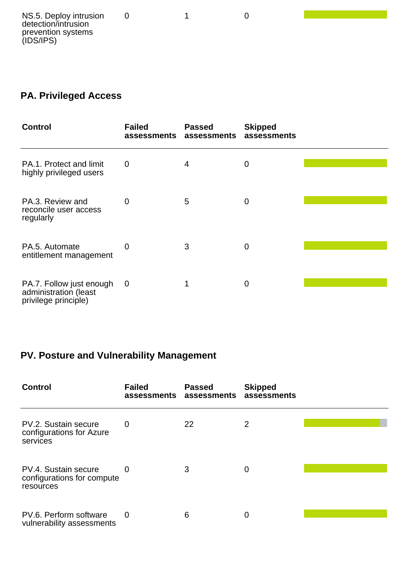#### **PA. Privileged Access**

| <b>Control</b>                                                            | <b>Failed</b><br>assessments | <b>Passed</b><br>assessments | <b>Skipped</b><br>assessments |  |
|---------------------------------------------------------------------------|------------------------------|------------------------------|-------------------------------|--|
| PA.1. Protect and limit<br>highly privileged users                        | $\mathbf 0$                  | 4                            | 0                             |  |
| PA.3. Review and<br>reconcile user access<br>regularly                    | $\overline{0}$               | 5                            | 0                             |  |
| PA.5. Automate<br>entitlement management                                  | 0                            | 3                            | O                             |  |
| PA.7. Follow just enough<br>administration (least<br>privilege principle) | $\mathbf 0$                  |                              | $\mathbf 0$                   |  |

#### **PV. Posture and Vulnerability Management**

| <b>Control</b>                                                  | <b>Failed</b><br>assessments assessments | <b>Passed</b> | <b>Skipped</b><br>assessments |  |
|-----------------------------------------------------------------|------------------------------------------|---------------|-------------------------------|--|
| PV.2. Sustain secure<br>configurations for Azure<br>services    | 0                                        | 22            | 2                             |  |
| PV.4. Sustain secure<br>configurations for compute<br>resources | 0                                        | 3             | 0                             |  |
| PV.6. Perform software<br>vulnerability assessments             | 0                                        | 6             | 0                             |  |

0 1 0